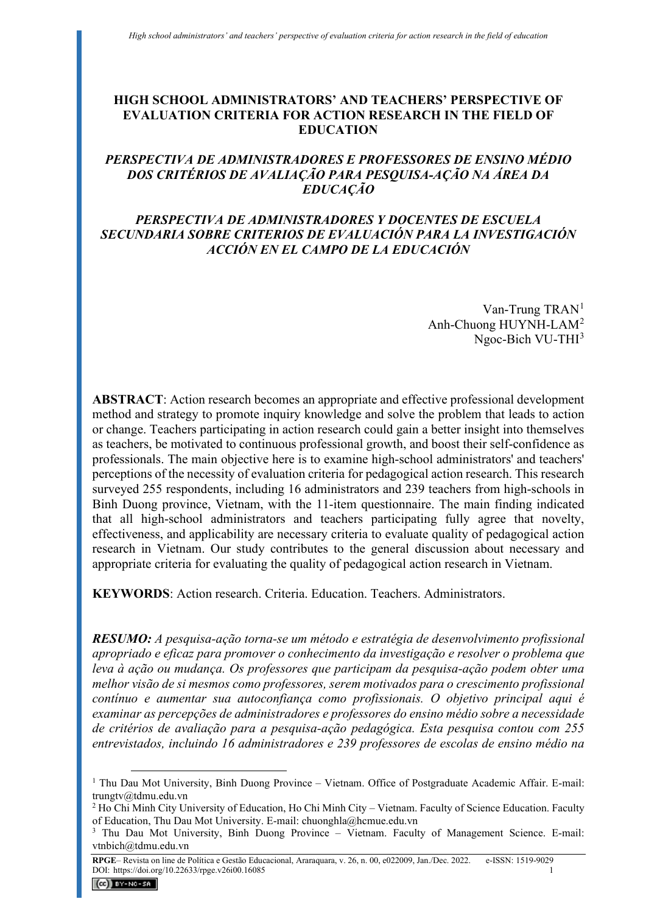# **HIGH SCHOOL ADMINISTRATORS' AND TEACHERS' PERSPECTIVE OF EVALUATION CRITERIA FOR ACTION RESEARCH IN THE FIELD OF EDUCATION**

# *PERSPECTIVA DE ADMINISTRADORES E PROFESSORES DE ENSINO MÉDIO DOS CRITÉRIOS DE AVALIAÇÃO PARA PESQUISA-AÇÃO NA ÁREA DA EDUCAÇÃO*

### *PERSPECTIVA DE ADMINISTRADORES Y DOCENTES DE ESCUELA SECUNDARIA SOBRE CRITERIOS DE EVALUACIÓN PARA LA INVESTIGACIÓN ACCIÓN EN EL CAMPO DE LA EDUCACIÓN*

Van-Trung  $TRAN<sup>1</sup>$  $TRAN<sup>1</sup>$  $TRAN<sup>1</sup>$ Anh-Chuong HUYNH-LAM[2](#page-0-1) Ngoc-Bich VU-THI[3](#page-0-2)

**ABSTRACT**: Action research becomes an appropriate and effective professional development method and strategy to promote inquiry knowledge and solve the problem that leads to action or change. Teachers participating in action research could gain a better insight into themselves as teachers, be motivated to continuous professional growth, and boost their self-confidence as professionals. The main objective here is to examine high-school administrators' and teachers' perceptions of the necessity of evaluation criteria for pedagogical action research. This research surveyed 255 respondents, including 16 administrators and 239 teachers from high-schools in Binh Duong province, Vietnam, with the 11-item questionnaire. The main finding indicated that all high-school administrators and teachers participating fully agree that novelty, effectiveness, and applicability are necessary criteria to evaluate quality of pedagogical action research in Vietnam. Our study contributes to the general discussion about necessary and appropriate criteria for evaluating the quality of pedagogical action research in Vietnam.

**KEYWORDS**: Action research. Criteria. Education. Teachers. Administrators.

*RESUMO: A pesquisa-ação torna-se um método e estratégia de desenvolvimento profissional apropriado e eficaz para promover o conhecimento da investigação e resolver o problema que leva à ação ou mudança. Os professores que participam da pesquisa-ação podem obter uma melhor visão de si mesmos como professores, serem motivados para o crescimento profissional contínuo e aumentar sua autoconfiança como profissionais. O objetivo principal aqui é examinar as percepções de administradores e professores do ensino médio sobre a necessidade de critérios de avaliação para a pesquisa-ação pedagógica. Esta pesquisa contou com 255 entrevistados, incluindo 16 administradores e 239 professores de escolas de ensino médio na* 

<span id="page-0-0"></span><sup>&</sup>lt;sup>1</sup> Thu Dau Mot University, Binh Duong Province – Vietnam. Office of Postgraduate Academic Affair. E-mail: [trungtv@tdmu.edu.vn](mailto:trungtv@tdmu.edu.vn)

<span id="page-0-1"></span><sup>2</sup> Ho Chi Minh City University of Education, Ho Chi Minh City – Vietnam. Faculty of Science Education. Faculty of Education, Thu Dau Mot University. E-mail: [chuonghla@hcmue.edu.vn](mailto:chuonghla@hcmue.edu.vn)

<span id="page-0-2"></span><sup>&</sup>lt;sup>3</sup> Thu Dau Mot University, Binh Duong Province – Vietnam. Faculty of Management Science. E-mail: [vtnbich@tdmu.edu.vn](mailto:vtnbich@tdmu.edu.vn)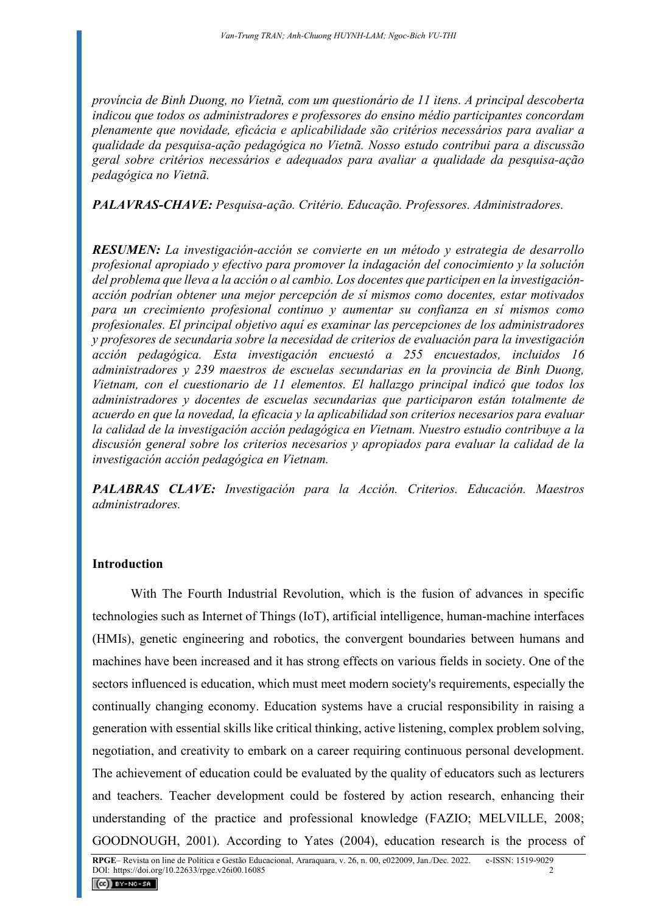*província de Binh Duong, no Vietnã, com um questionário de 11 itens. A principal descoberta indicou que todos os administradores e professores do ensino médio participantes concordam plenamente que novidade, eficácia e aplicabilidade são critérios necessários para avaliar a qualidade da pesquisa-ação pedagógica no Vietnã. Nosso estudo contribui para a discussão geral sobre critérios necessários e adequados para avaliar a qualidade da pesquisa-ação pedagógica no Vietnã.* 

*PALAVRAS-CHAVE: Pesquisa-ação. Critério. Educação. Professores. Administradores.* 

*RESUMEN: La investigación-acción se convierte en un método y estrategia de desarrollo profesional apropiado y efectivo para promover la indagación del conocimiento y la solución del problema que lleva a la acción o al cambio. Los docentes que participen en la investigaciónacción podrían obtener una mejor percepción de sí mismos como docentes, estar motivados para un crecimiento profesional continuo y aumentar su confianza en sí mismos como profesionales. El principal objetivo aquí es examinar las percepciones de los administradores y profesores de secundaria sobre la necesidad de criterios de evaluación para la investigación acción pedagógica. Esta investigación encuestó a 255 encuestados, incluidos 16 administradores y 239 maestros de escuelas secundarias en la provincia de Binh Duong, Vietnam, con el cuestionario de 11 elementos. El hallazgo principal indicó que todos los administradores y docentes de escuelas secundarias que participaron están totalmente de acuerdo en que la novedad, la eficacia y la aplicabilidad son criterios necesarios para evaluar la calidad de la investigación acción pedagógica en Vietnam. Nuestro estudio contribuye a la discusión general sobre los criterios necesarios y apropiados para evaluar la calidad de la investigación acción pedagógica en Vietnam.* 

*PALABRAS CLAVE: Investigación para la Acción. Criterios. Educación. Maestros administradores.* 

# **Introduction**

With The Fourth Industrial Revolution, which is the fusion of advances in specific technologies such as Internet of Things (IoT), artificial intelligence, human-machine interfaces (HMIs), genetic engineering and robotics, the convergent boundaries between humans and machines have been increased and it has strong effects on various fields in society. One of the sectors influenced is education, which must meet modern society's requirements, especially the continually changing economy. Education systems have a crucial responsibility in raising a generation with essential skills like critical thinking, active listening, complex problem solving, negotiation, and creativity to embark on a career requiring continuous personal development. The achievement of education could be evaluated by the quality of educators such as lecturers and teachers. Teacher development could be fostered by action research, enhancing their understanding of the practice and professional knowledge (FAZIO; MELVILLE, 2008; GOODNOUGH, 2001). According to Yates (2004), education research is the process of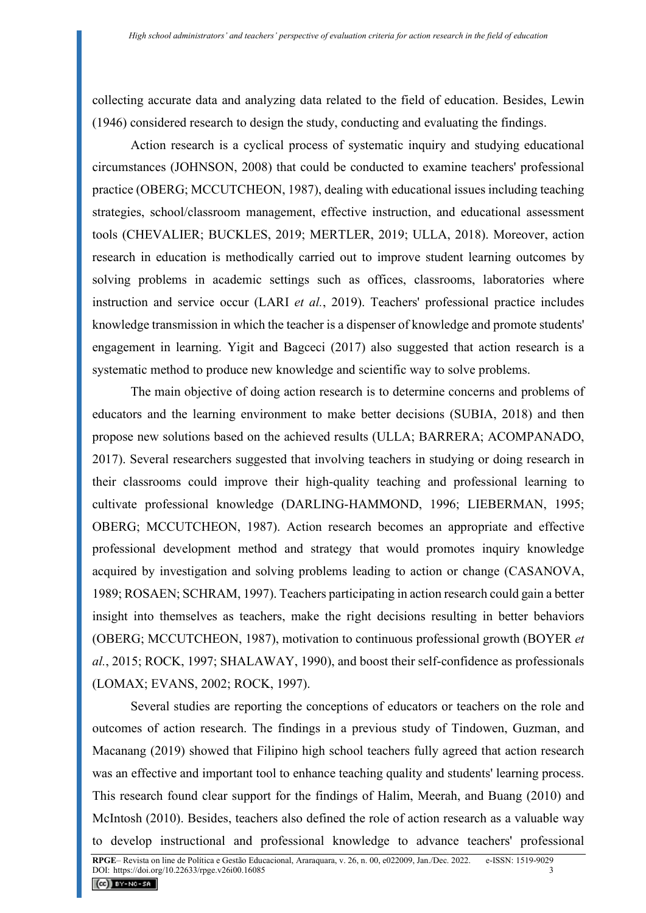collecting accurate data and analyzing data related to the field of education. Besides, Lewin (1946) considered research to design the study, conducting and evaluating the findings.

Action research is a cyclical process of systematic inquiry and studying educational circumstances (JOHNSON, 2008) that could be conducted to examine teachers' professional practice (OBERG; MCCUTCHEON, 1987), dealing with educational issues including teaching strategies, school/classroom management, effective instruction, and educational assessment tools (CHEVALIER; BUCKLES, 2019; MERTLER, 2019; ULLA, 2018). Moreover, action research in education is methodically carried out to improve student learning outcomes by solving problems in academic settings such as offices, classrooms, laboratories where instruction and service occur (LARI *et al.*, 2019). Teachers' professional practice includes knowledge transmission in which the teacher is a dispenser of knowledge and promote students' engagement in learning. Yigit and Bagceci (2017) also suggested that action research is a systematic method to produce new knowledge and scientific way to solve problems.

The main objective of doing action research is to determine concerns and problems of educators and the learning environment to make better decisions (SUBIA, 2018) and then propose new solutions based on the achieved results (ULLA; BARRERA; ACOMPANADO, 2017). Several researchers suggested that involving teachers in studying or doing research in their classrooms could improve their high-quality teaching and professional learning to cultivate professional knowledge (DARLING-HAMMOND, 1996; LIEBERMAN, 1995; OBERG; MCCUTCHEON, 1987). Action research becomes an appropriate and effective professional development method and strategy that would promotes inquiry knowledge acquired by investigation and solving problems leading to action or change (CASANOVA, 1989; ROSAEN; SCHRAM, 1997). Teachers participating in action research could gain a better insight into themselves as teachers, make the right decisions resulting in better behaviors (OBERG; MCCUTCHEON, 1987), motivation to continuous professional growth (BOYER *et al.*, 2015; ROCK, 1997; SHALAWAY, 1990), and boost their self-confidence as professionals (LOMAX; EVANS, 2002; ROCK, 1997).

Several studies are reporting the conceptions of educators or teachers on the role and outcomes of action research. The findings in a previous study of Tindowen, Guzman, and Macanang (2019) showed that Filipino high school teachers fully agreed that action research was an effective and important tool to enhance teaching quality and students' learning process. This research found clear support for the findings of Halim, Meerah, and Buang (2010) and McIntosh (2010). Besides, teachers also defined the role of action research as a valuable way to develop instructional and professional knowledge to advance teachers' professional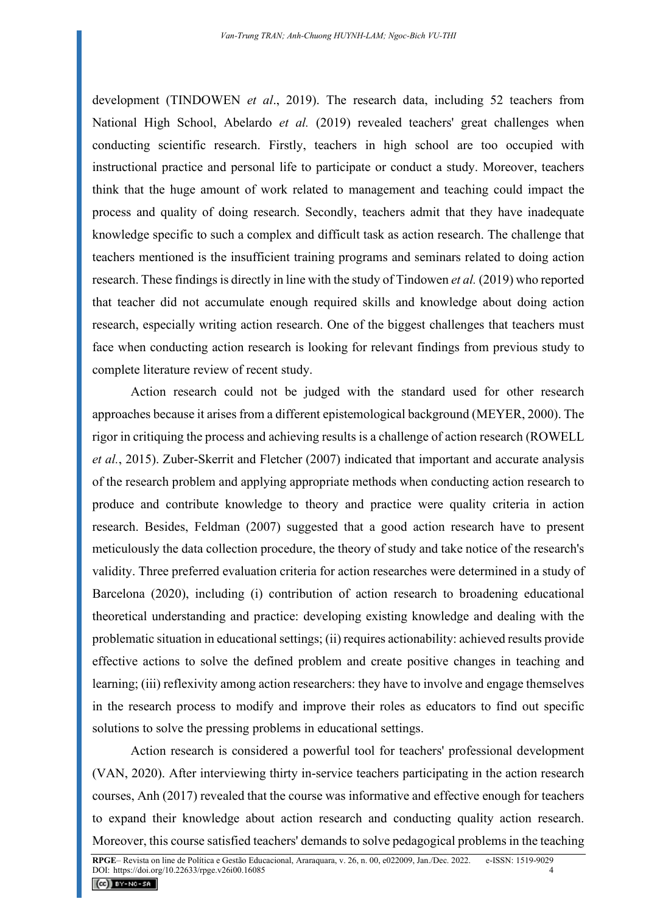development (TINDOWEN *et al*., 2019). The research data, including 52 teachers from National High School, Abelardo *et al.* (2019) revealed teachers' great challenges when conducting scientific research. Firstly, teachers in high school are too occupied with instructional practice and personal life to participate or conduct a study. Moreover, teachers think that the huge amount of work related to management and teaching could impact the process and quality of doing research. Secondly, teachers admit that they have inadequate knowledge specific to such a complex and difficult task as action research. The challenge that teachers mentioned is the insufficient training programs and seminars related to doing action research. These findings is directly in line with the study of Tindowen *et al.* (2019) who reported that teacher did not accumulate enough required skills and knowledge about doing action research, especially writing action research. One of the biggest challenges that teachers must face when conducting action research is looking for relevant findings from previous study to complete literature review of recent study.

Action research could not be judged with the standard used for other research approaches because it arises from a different epistemological background (MEYER, 2000). The rigor in critiquing the process and achieving results is a challenge of action research (ROWELL *et al.*, 2015). Zuber-Skerrit and Fletcher (2007) indicated that important and accurate analysis of the research problem and applying appropriate methods when conducting action research to produce and contribute knowledge to theory and practice were quality criteria in action research. Besides, Feldman (2007) suggested that a good action research have to present meticulously the data collection procedure, the theory of study and take notice of the research's validity. Three preferred evaluation criteria for action researches were determined in a study of Barcelona (2020), including (i) contribution of action research to broadening educational theoretical understanding and practice: developing existing knowledge and dealing with the problematic situation in educational settings; (ii) requires actionability: achieved results provide effective actions to solve the defined problem and create positive changes in teaching and learning; (iii) reflexivity among action researchers: they have to involve and engage themselves in the research process to modify and improve their roles as educators to find out specific solutions to solve the pressing problems in educational settings.

Action research is considered a powerful tool for teachers' professional development (VAN, 2020). After interviewing thirty in-service teachers participating in the action research courses, Anh (2017) revealed that the course was informative and effective enough for teachers to expand their knowledge about action research and conducting quality action research. Moreover, this course satisfied teachers' demands to solve pedagogical problems in the teaching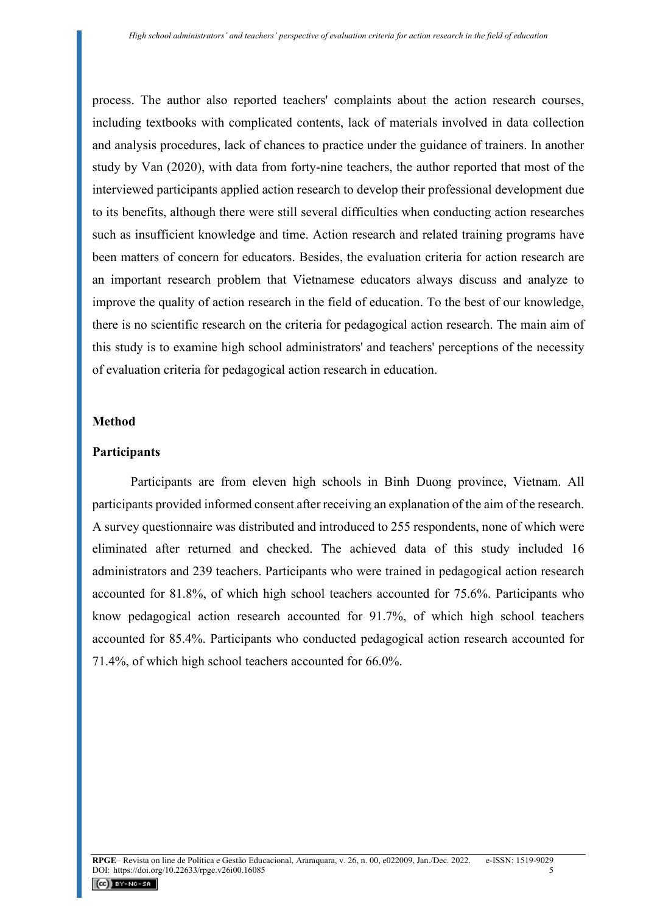process. The author also reported teachers' complaints about the action research courses, including textbooks with complicated contents, lack of materials involved in data collection and analysis procedures, lack of chances to practice under the guidance of trainers. In another study by Van (2020), with data from forty-nine teachers, the author reported that most of the interviewed participants applied action research to develop their professional development due to its benefits, although there were still several difficulties when conducting action researches such as insufficient knowledge and time. Action research and related training programs have been matters of concern for educators. Besides, the evaluation criteria for action research are an important research problem that Vietnamese educators always discuss and analyze to improve the quality of action research in the field of education. To the best of our knowledge, there is no scientific research on the criteria for pedagogical action research. The main aim of this study is to examine high school administrators' and teachers' perceptions of the necessity of evaluation criteria for pedagogical action research in education.

### **Method**

#### **Participants**

Participants are from eleven high schools in Binh Duong province, Vietnam. All participants provided informed consent after receiving an explanation of the aim of the research. A survey questionnaire was distributed and introduced to 255 respondents, none of which were eliminated after returned and checked. The achieved data of this study included 16 administrators and 239 teachers. Participants who were trained in pedagogical action research accounted for 81.8%, of which high school teachers accounted for 75.6%. Participants who know pedagogical action research accounted for 91.7%, of which high school teachers accounted for 85.4%. Participants who conducted pedagogical action research accounted for 71.4%, of which high school teachers accounted for 66.0%.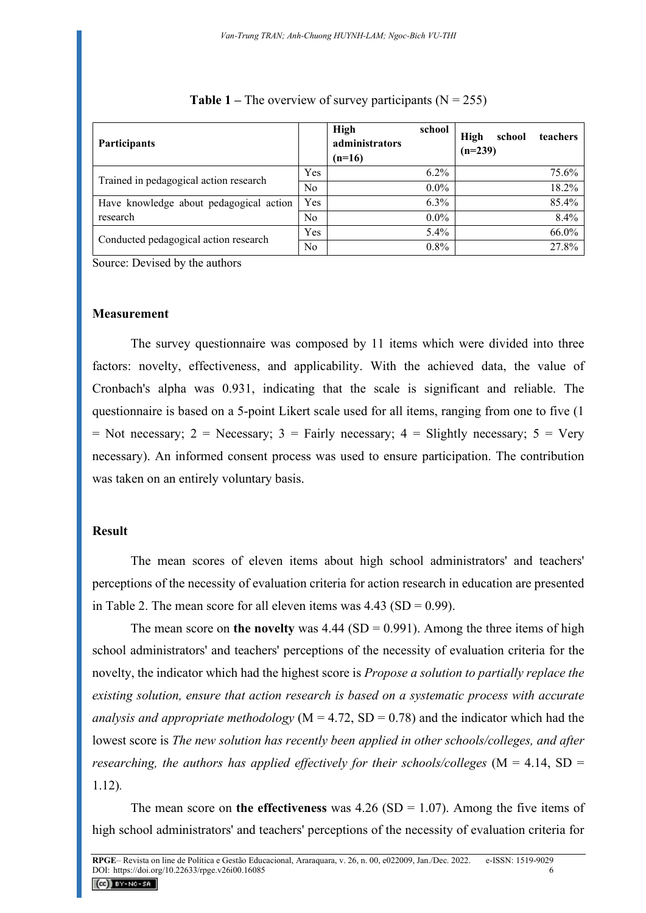| Participants                            |                | <b>High</b><br>school<br>administrators<br>$(n=16)$ | High<br>school<br>teachers<br>$(n=239)$ |
|-----------------------------------------|----------------|-----------------------------------------------------|-----------------------------------------|
| Trained in pedagogical action research  | Yes            | $6.2\%$                                             | 75.6%                                   |
|                                         | No             | $0.0\%$                                             | 18.2%                                   |
| Have knowledge about pedagogical action | <b>Yes</b>     | $6.3\%$                                             | 85.4%                                   |
| research                                | N <sub>o</sub> | $0.0\%$                                             | 8.4%                                    |
| Conducted pedagogical action research   | Yes            | 5.4%                                                | 66.0%                                   |
|                                         | N <sub>o</sub> | 0.8%                                                | 27.8%                                   |

#### **Table 1** – The overview of survey participants  $(N = 255)$

Source: Devised by the authors

#### **Measurement**

The survey questionnaire was composed by 11 items which were divided into three factors: novelty, effectiveness, and applicability. With the achieved data, the value of Cronbach's alpha was 0.931, indicating that the scale is significant and reliable. The questionnaire is based on a 5-point Likert scale used for all items, ranging from one to five (1 = Not necessary; 2 = Necessary; 3 = Fairly necessary; 4 = Slightly necessary; 5 = Very necessary). An informed consent process was used to ensure participation. The contribution was taken on an entirely voluntary basis.

## **Result**

The mean scores of eleven items about high school administrators' and teachers' perceptions of the necessity of evaluation criteria for action research in education are presented in Table 2. The mean score for all eleven items was  $4.43$  (SD = 0.99).

The mean score on **the novelty** was  $4.44$  (SD = 0.991). Among the three items of high school administrators' and teachers' perceptions of the necessity of evaluation criteria for the novelty, the indicator which had the highest score is *Propose a solution to partially replace the existing solution, ensure that action research is based on a systematic process with accurate analysis and appropriate methodology* ( $M = 4.72$ ,  $SD = 0.78$ ) and the indicator which had the lowest score is *The new solution has recently been applied in other schools/colleges, and after researching, the authors has applied effectively for their schools/colleges*  $(M = 4.14, SD =$ 1.12)*.* 

The mean score on **the effectiveness** was  $4.26$  (SD = 1.07). Among the five items of high school administrators' and teachers' perceptions of the necessity of evaluation criteria for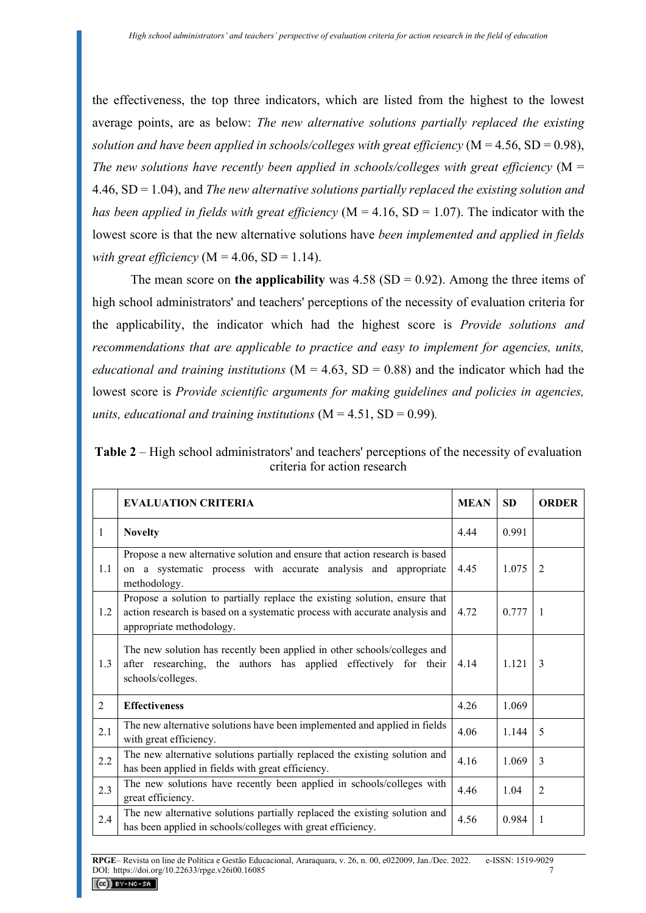the effectiveness, the top three indicators, which are listed from the highest to the lowest average points, are as below: *The new alternative solutions partially replaced the existing solution and have been applied in schools/colleges with great efficiency* ( $M = 4.56$ ,  $SD = 0.98$ ), *The new solutions have recently been applied in schools/colleges with great efficiency* (M = 4.46, SD = 1.04), and *The new alternative solutions partially replaced the existing solution and has been applied in fields with great efficiency* ( $M = 4.16$ ,  $SD = 1.07$ ). The indicator with the lowest score is that the new alternative solutions have *been implemented and applied in fields with great efficiency* ( $M = 4.06$ ,  $SD = 1.14$ ).

The mean score on **the applicability** was  $4.58$  (SD = 0.92). Among the three items of high school administrators' and teachers' perceptions of the necessity of evaluation criteria for the applicability, the indicator which had the highest score is *Provide solutions and recommendations that are applicable to practice and easy to implement for agencies, units, educational and training institutions* ( $M = 4.63$ ,  $SD = 0.88$ ) and the indicator which had the lowest score is *Provide scientific arguments for making guidelines and policies in agencies, units, educational and training institutions*  $(M = 4.51, SD = 0.99)$ .

|                              | <b>Table 2</b> – High school administrators' and teachers' perceptions of the necessity of evaluation |  |  |  |  |  |
|------------------------------|-------------------------------------------------------------------------------------------------------|--|--|--|--|--|
| criteria for action research |                                                                                                       |  |  |  |  |  |

|                | <b>EVALUATION CRITERIA</b>                                                                                                                                                            | <b>MEAN</b> | <b>SD</b> | <b>ORDER</b>   |
|----------------|---------------------------------------------------------------------------------------------------------------------------------------------------------------------------------------|-------------|-----------|----------------|
| $\mathbf{1}$   | <b>Novelty</b>                                                                                                                                                                        | 4.44        | 0.991     |                |
| 1.1            | Propose a new alternative solution and ensure that action research is based<br>on a systematic process with accurate analysis and appropriate<br>methodology.                         | 4.45        | 1.075     | 2              |
| 1.2            | Propose a solution to partially replace the existing solution, ensure that<br>action research is based on a systematic process with accurate analysis and<br>appropriate methodology. | 4.72        | 0.777     | $\overline{1}$ |
| 1.3            | The new solution has recently been applied in other schools/colleges and<br>after researching, the authors has applied effectively for their<br>schools/colleges.                     | 4.14        | 1.121     | 3              |
| $\mathfrak{D}$ | <b>Effectiveness</b>                                                                                                                                                                  | 4.26        | 1.069     |                |
| 2.1            | The new alternative solutions have been implemented and applied in fields<br>with great efficiency.                                                                                   | 4.06        | 1.144     | 5              |
| 2.2            | The new alternative solutions partially replaced the existing solution and<br>has been applied in fields with great efficiency.                                                       | 4.16        | 1.069     | 3              |
| 2.3            | The new solutions have recently been applied in schools/colleges with<br>great efficiency.                                                                                            | 4.46        | 1.04      | $\overline{2}$ |
| 2.4            | The new alternative solutions partially replaced the existing solution and<br>has been applied in schools/colleges with great efficiency.                                             | 4.56        | 0.984     | 1              |

**RPGE**– Revista on line de Política e Gestão Educacional, Araraquara, v. 26, n. 00, e022009, Jan./Dec. 2022. e-ISSN: 1519-9029 DOI: https://doi.org/10.22633/rpge.v26i00.16085 7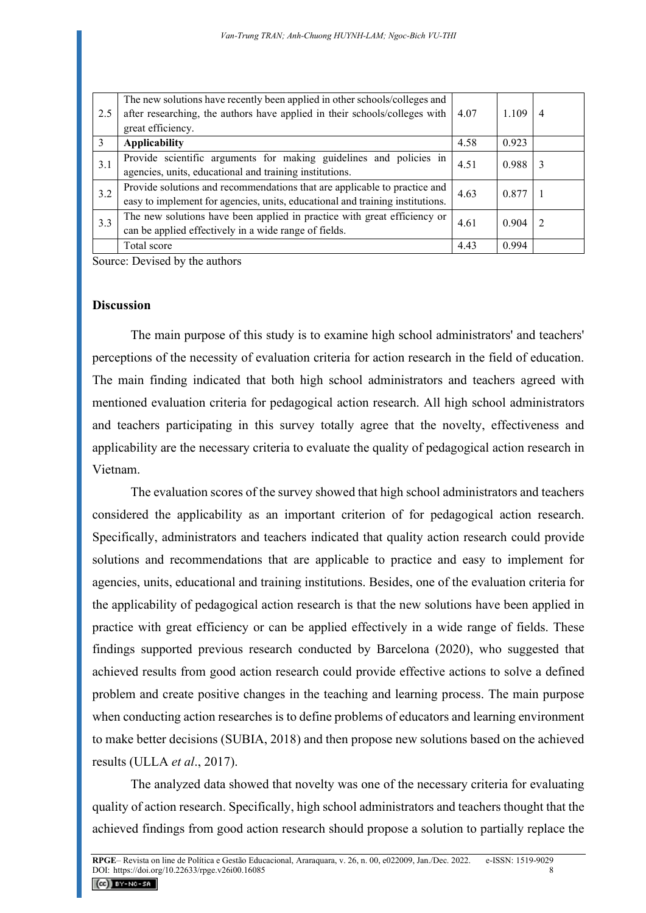| 2.5 | The new solutions have recently been applied in other schools/colleges and<br>after researching, the authors have applied in their schools/colleges with   | 4.07 | 1.109 | $\overline{4}$ |
|-----|------------------------------------------------------------------------------------------------------------------------------------------------------------|------|-------|----------------|
|     | great efficiency.                                                                                                                                          |      |       |                |
| 3   | <b>Applicability</b>                                                                                                                                       | 4.58 | 0.923 |                |
| 3.1 | Provide scientific arguments for making guidelines and policies in<br>agencies, units, educational and training institutions.                              | 4.51 | 0.988 | 3              |
| 3.2 | Provide solutions and recommendations that are applicable to practice and<br>easy to implement for agencies, units, educational and training institutions. | 4.63 | 0.877 |                |
| 3.3 | The new solutions have been applied in practice with great efficiency or<br>can be applied effectively in a wide range of fields.                          | 4.61 | 0.904 |                |
|     | Total score                                                                                                                                                | 4.43 | 0.994 |                |

Source: Devised by the authors

### **Discussion**

The main purpose of this study is to examine high school administrators' and teachers' perceptions of the necessity of evaluation criteria for action research in the field of education. The main finding indicated that both high school administrators and teachers agreed with mentioned evaluation criteria for pedagogical action research. All high school administrators and teachers participating in this survey totally agree that the novelty, effectiveness and applicability are the necessary criteria to evaluate the quality of pedagogical action research in Vietnam.

The evaluation scores of the survey showed that high school administrators and teachers considered the applicability as an important criterion of for pedagogical action research. Specifically, administrators and teachers indicated that quality action research could provide solutions and recommendations that are applicable to practice and easy to implement for agencies, units, educational and training institutions. Besides, one of the evaluation criteria for the applicability of pedagogical action research is that the new solutions have been applied in practice with great efficiency or can be applied effectively in a wide range of fields. These findings supported previous research conducted by Barcelona (2020), who suggested that achieved results from good action research could provide effective actions to solve a defined problem and create positive changes in the teaching and learning process. The main purpose when conducting action researches is to define problems of educators and learning environment to make better decisions (SUBIA, 2018) and then propose new solutions based on the achieved results (ULLA *et al*., 2017).

The analyzed data showed that novelty was one of the necessary criteria for evaluating quality of action research. Specifically, high school administrators and teachers thought that the achieved findings from good action research should propose a solution to partially replace the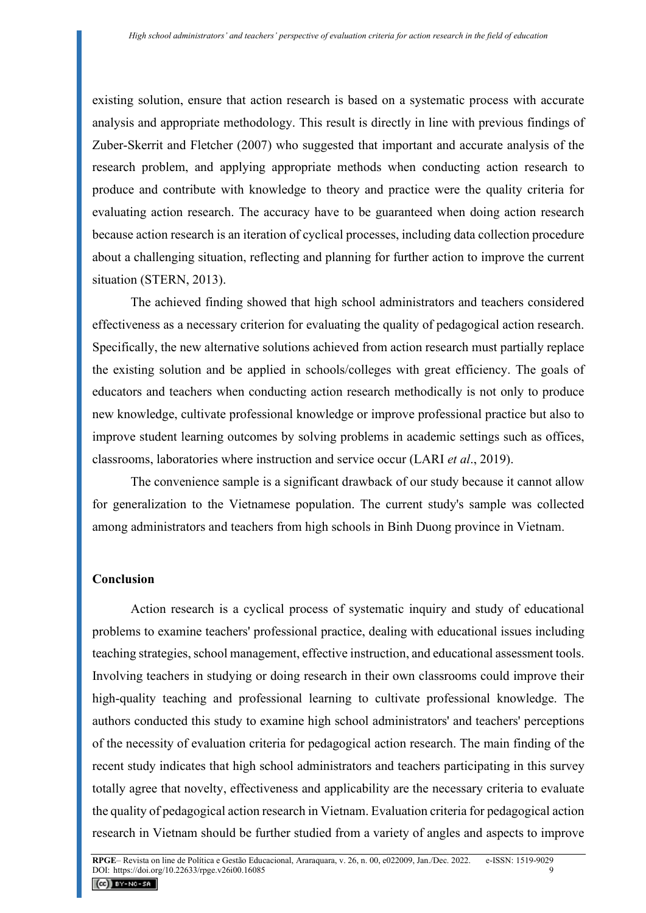existing solution, ensure that action research is based on a systematic process with accurate analysis and appropriate methodology. This result is directly in line with previous findings of Zuber-Skerrit and Fletcher (2007) who suggested that important and accurate analysis of the research problem, and applying appropriate methods when conducting action research to produce and contribute with knowledge to theory and practice were the quality criteria for evaluating action research. The accuracy have to be guaranteed when doing action research because action research is an iteration of cyclical processes, including data collection procedure about a challenging situation, reflecting and planning for further action to improve the current situation (STERN, 2013).

The achieved finding showed that high school administrators and teachers considered effectiveness as a necessary criterion for evaluating the quality of pedagogical action research. Specifically, the new alternative solutions achieved from action research must partially replace the existing solution and be applied in schools/colleges with great efficiency. The goals of educators and teachers when conducting action research methodically is not only to produce new knowledge, cultivate professional knowledge or improve professional practice but also to improve student learning outcomes by solving problems in academic settings such as offices, classrooms, laboratories where instruction and service occur (LARI *et al*., 2019).

The convenience sample is a significant drawback of our study because it cannot allow for generalization to the Vietnamese population. The current study's sample was collected among administrators and teachers from high schools in Binh Duong province in Vietnam.

### **Conclusion**

Action research is a cyclical process of systematic inquiry and study of educational problems to examine teachers' professional practice, dealing with educational issues including teaching strategies, school management, effective instruction, and educational assessment tools. Involving teachers in studying or doing research in their own classrooms could improve their high-quality teaching and professional learning to cultivate professional knowledge. The authors conducted this study to examine high school administrators' and teachers' perceptions of the necessity of evaluation criteria for pedagogical action research. The main finding of the recent study indicates that high school administrators and teachers participating in this survey totally agree that novelty, effectiveness and applicability are the necessary criteria to evaluate the quality of pedagogical action research in Vietnam. Evaluation criteria for pedagogical action research in Vietnam should be further studied from a variety of angles and aspects to improve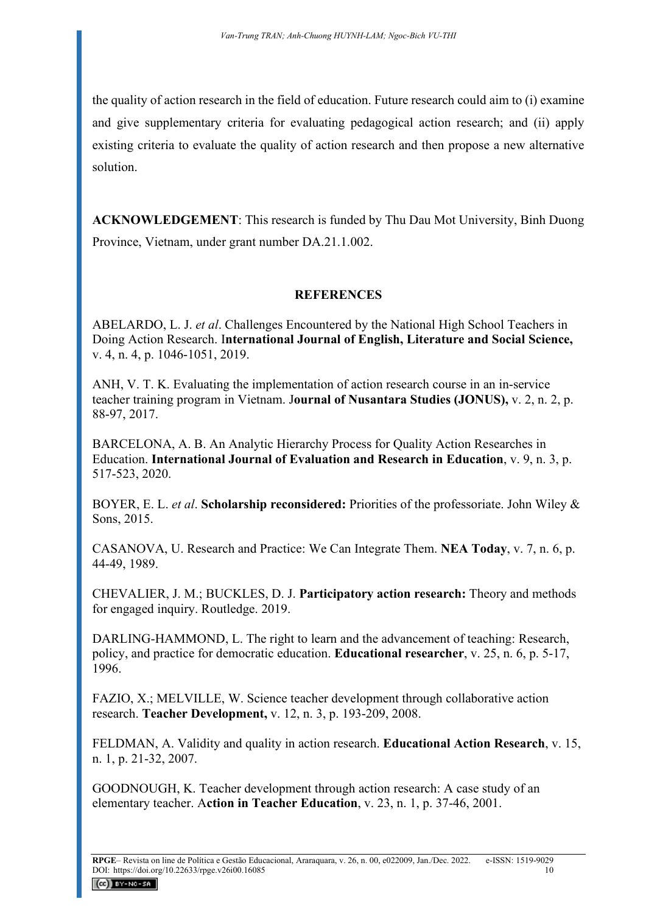the quality of action research in the field of education. Future research could aim to (i) examine and give supplementary criteria for evaluating pedagogical action research; and (ii) apply existing criteria to evaluate the quality of action research and then propose a new alternative solution.

**ACKNOWLEDGEMENT**: This research is funded by Thu Dau Mot University, Binh Duong Province, Vietnam, under grant number DA.21.1.002.

# **REFERENCES**

ABELARDO, L. J. *et al*. Challenges Encountered by the National High School Teachers in Doing Action Research. I**nternational Journal of English, Literature and Social Science,** v. 4, n. 4, p. 1046-1051, 2019.

ANH, V. T. K. Evaluating the implementation of action research course in an in-service teacher training program in Vietnam. J**ournal of Nusantara Studies (JONUS),** v. 2, n. 2, p. 88-97, 2017.

BARCELONA, A. B. An Analytic Hierarchy Process for Quality Action Researches in Education. **International Journal of Evaluation and Research in Education**, v. 9, n. 3, p. 517-523, 2020.

BOYER, E. L. *et al*. **Scholarship reconsidered:** Priorities of the professoriate. John Wiley & Sons, 2015.

CASANOVA, U. Research and Practice: We Can Integrate Them. **NEA Today**, v. 7, n. 6, p. 44-49, 1989.

CHEVALIER, J. M.; BUCKLES, D. J. **Participatory action research:** Theory and methods for engaged inquiry. Routledge. 2019.

DARLING-HAMMOND, L. The right to learn and the advancement of teaching: Research, policy, and practice for democratic education. **Educational researcher**, v. 25, n. 6, p. 5-17, 1996.

FAZIO, X.; MELVILLE, W. Science teacher development through collaborative action research. **Teacher Development,** v. 12, n. 3, p. 193-209, 2008.

FELDMAN, A. Validity and quality in action research. **Educational Action Research**, v. 15, n. 1, p. 21-32, 2007.

GOODNOUGH, K. Teacher development through action research: A case study of an elementary teacher. A**ction in Teacher Education**, v. 23, n. 1, p. 37-46, 2001.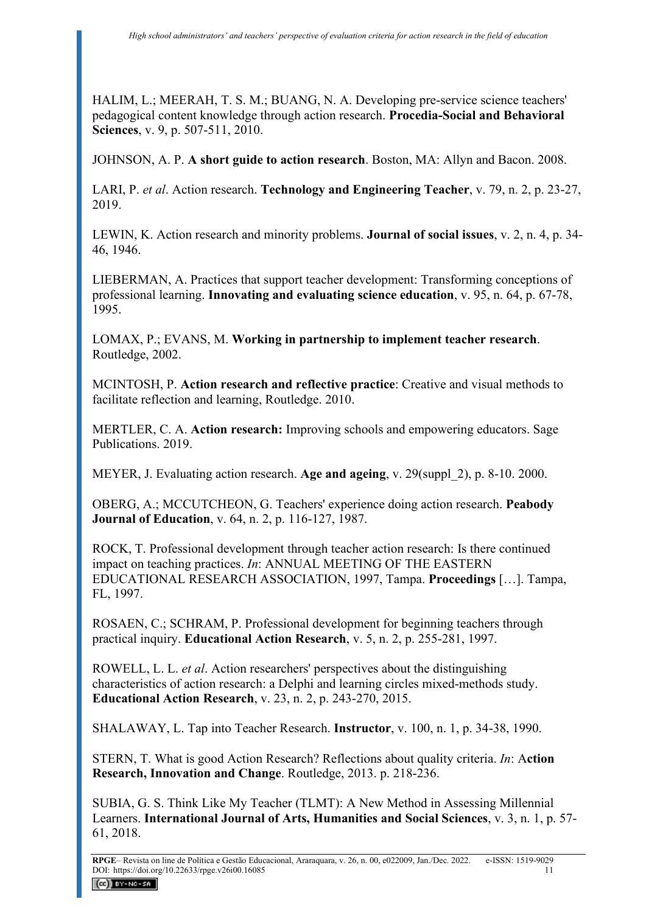HALIM, L.; MEERAH, T. S. M.; BUANG, N. A. Developing pre-service science teachers' pedagogical content knowledge through action research. **Procedia-Social and Behavioral Sciences**, v. 9, p. 507-511, 2010.

JOHNSON, A. P. **A short guide to action research**. Boston, MA: Allyn and Bacon. 2008.

LARI, P. *et al*. Action research. **Technology and Engineering Teacher**, v. 79, n. 2, p. 23-27, 2019.

LEWIN, K. Action research and minority problems. **Journal of social issues**, v. 2, n. 4, p. 34- 46, 1946.

LIEBERMAN, A. Practices that support teacher development: Transforming conceptions of professional learning. **Innovating and evaluating science education**, v. 95, n. 64, p. 67-78, 1995.

LOMAX, P.; EVANS, M. **Working in partnership to implement teacher research**. Routledge, 2002.

MCINTOSH, P. **Action research and reflective practice**: Creative and visual methods to facilitate reflection and learning, Routledge. 2010.

MERTLER, C. A. **Action research:** Improving schools and empowering educators. Sage Publications. 2019.

MEYER, J. Evaluating action research. **Age and ageing**, v. 29(suppl\_2), p. 8-10. 2000.

OBERG, A.; MCCUTCHEON, G. Teachers' experience doing action research. **Peabody Journal of Education**, v. 64, n. 2, p. 116-127, 1987.

ROCK, T. Professional development through teacher action research: Is there continued impact on teaching practices. *In*: ANNUAL MEETING OF THE EASTERN EDUCATIONAL RESEARCH ASSOCIATION, 1997, Tampa. **Proceedings** […]. Tampa, FL, 1997.

ROSAEN, C.; SCHRAM, P. Professional development for beginning teachers through practical inquiry. **Educational Action Research**, v. 5, n. 2, p. 255-281, 1997.

ROWELL, L. L. *et al*. Action researchers' perspectives about the distinguishing characteristics of action research: a Delphi and learning circles mixed-methods study. **Educational Action Research**, v. 23, n. 2, p. 243-270, 2015.

SHALAWAY, L. Tap into Teacher Research. **Instructor**, v. 100, n. 1, p. 34-38, 1990.

STERN, T. What is good Action Research? Reflections about quality criteria. *In*: A**ction Research, Innovation and Change**. Routledge, 2013. p. 218-236.

SUBIA, G. S. Think Like My Teacher (TLMT): A New Method in Assessing Millennial Learners. **International Journal of Arts, Humanities and Social Sciences**, v. 3, n. 1, p. 57- 61, 2018.